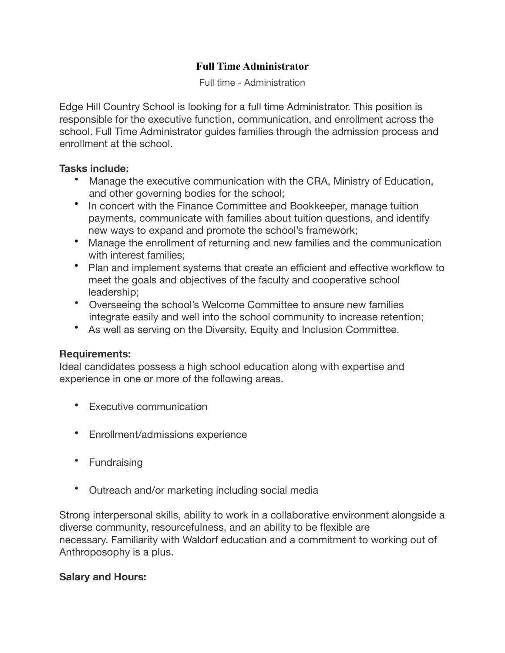# **Full Time Administrator**

Full time - Administration

Edge Hill Country School is looking for a full time Administrator. This position is responsible for the executive function, communication, and enrollment across the school. Full Time Administrator guides families through the admission process and enrollment at the school.

#### **Tasks include:**

- Manage the executive communication with the CRA, Ministry of Education, and other governing bodies for the school;
- In concert with the Finance Committee and Bookkeeper, manage tuition payments, communicate with families about tuition questions, and identify new ways to expand and promote the school's framework;
- Manage the enrollment of returning and new families and the communication with interest families;
- Plan and implement systems that create an efficient and effective workflow to meet the goals and objectives of the faculty and cooperative school leadership;
- Overseeing the school's Welcome Committee to ensure new families integrate easily and well into the school community to increase retention;
- As well as serving on the Diversity, Equity and Inclusion Committee.

## **Requirements:**

Ideal candidates possess a high school education along with expertise and experience in one or more of the following areas.

- Executive communication
- Enrollment/admissions experience
- Fundraising
- Outreach and/or marketing including social media

Strong interpersonal skills, ability to work in a collaborative environment alongside a diverse community, resourcefulness, and an ability to be flexible are necessary. Familiarity with Waldorf education and a commitment to working out of Anthroposophy is a plus.

## **Salary and Hours:**